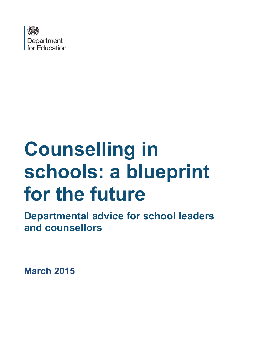

# **Counselling in schools: a blueprint for the future**

**Departmental advice for school leaders and counsellors**

**March 2015**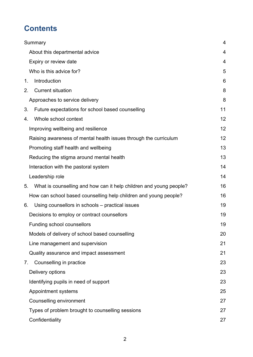# **Contents**

| Summary                        |                                                                    | 4  |
|--------------------------------|--------------------------------------------------------------------|----|
| About this departmental advice |                                                                    | 4  |
| Expiry or review date          |                                                                    | 4  |
| Who is this advice for?        |                                                                    | 5  |
| Introduction<br>$1_{-}$        |                                                                    | 6  |
| <b>Current situation</b><br>2. |                                                                    | 8  |
| Approaches to service delivery |                                                                    | 8  |
| 3.                             | Future expectations for school based counselling                   | 11 |
| Whole school context<br>4.     |                                                                    | 12 |
|                                | Improving wellbeing and resilience                                 | 12 |
|                                | Raising awareness of mental health issues through the curriculum   | 12 |
|                                | Promoting staff health and wellbeing                               | 13 |
|                                | Reducing the stigma around mental health                           | 13 |
|                                | Interaction with the pastoral system                               | 14 |
| Leadership role                |                                                                    | 14 |
| 5.                             | What is counselling and how can it help children and young people? | 16 |
|                                | How can school based counselling help children and young people?   | 16 |
| 6.                             | Using counsellors in schools – practical issues                    | 19 |
|                                | Decisions to employ or contract counsellors                        | 19 |
| Funding school counsellors     |                                                                    | 19 |
|                                | Models of delivery of school based counselling                     | 20 |
|                                | Line management and supervision                                    | 21 |
|                                | Quality assurance and impact assessment                            | 21 |
| Counselling in practice<br>7.  |                                                                    | 23 |
| Delivery options               |                                                                    | 23 |
|                                | Identifying pupils in need of support                              | 23 |
| Appointment systems            |                                                                    | 25 |
| Counselling environment        |                                                                    | 27 |
|                                | Types of problem brought to counselling sessions                   | 27 |
| Confidentiality                |                                                                    | 27 |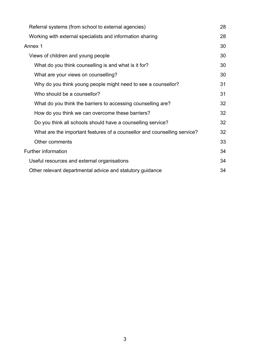| Referral systems (from school to external agencies)                      |    |
|--------------------------------------------------------------------------|----|
| Working with external specialists and information sharing                | 28 |
| Annex 1                                                                  | 30 |
| Views of children and young people                                       |    |
| What do you think counselling is and what is it for?                     | 30 |
| What are your views on counselling?                                      | 30 |
| Why do you think young people might need to see a counsellor?            | 31 |
| Who should be a counsellor?                                              | 31 |
| What do you think the barriers to accessing counselling are?             | 32 |
| How do you think we can overcome these barriers?                         | 32 |
| Do you think all schools should have a counselling service?              | 32 |
| What are the important features of a counsellor and counselling service? | 32 |
| Other comments                                                           | 33 |
| <b>Further information</b>                                               |    |
| Useful resources and external organisations                              |    |
| Other relevant departmental advice and statutory guidance                |    |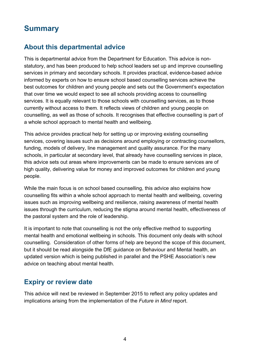# <span id="page-3-0"></span>**Summary**

# <span id="page-3-1"></span>**About this departmental advice**

This is departmental advice from the Department for Education. This advice is nonstatutory, and has been produced to help school leaders set up and improve counselling services in primary and secondary schools. It provides practical, evidence-based advice informed by experts on how to ensure school based counselling services achieve the best outcomes for children and young people and sets out the Government's expectation that over time we would expect to see all schools providing access to counselling services. It is equally relevant to those schools with counselling services, as to those currently without access to them. It reflects views of children and young people on counselling, as well as those of schools. It recognises that effective counselling is part of a whole school approach to mental health and wellbeing.

This advice provides practical help for setting up or improving existing counselling services, covering issues such as decisions around employing or contracting counsellors, funding, models of delivery, line management and quality assurance. For the many schools, in particular at secondary level, that already have counselling services in place, this advice sets out areas where improvements can be made to ensure services are of high quality, delivering value for money and improved outcomes for children and young people.

While the main focus is on school based counselling, this advice also explains how counselling fits within a whole school approach to mental health and wellbeing, covering issues such as improving wellbeing and resilience, raising awareness of mental health issues through the curriculum, reducing the stigma around mental health, effectiveness of the pastoral system and the role of leadership.

It is important to note that counselling is not the only effective method to supporting mental health and emotional wellbeing in schools. This document only deals with school counselling. Consideration of other forms of help are beyond the scope of this document, but it should be read alongside the DfE guidance on Behaviour and Mental health, an updated version which is being published in parallel and the PSHE Association's new advice on teaching about mental health.

### <span id="page-3-2"></span>**Expiry or review date**

This advice will next be reviewed in September 2015 to reflect any policy updates and implications arising from the implementation of the *Future in Mind* report.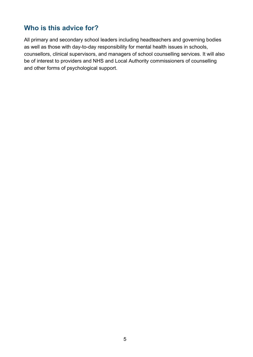### <span id="page-4-0"></span>**Who is this advice for?**

All primary and secondary school leaders including headteachers and governing bodies as well as those with day-to-day responsibility for mental health issues in schools, counsellors, clinical supervisors, and managers of school counselling services. It will also be of interest to providers and NHS and Local Authority commissioners of counselling and other forms of psychological support.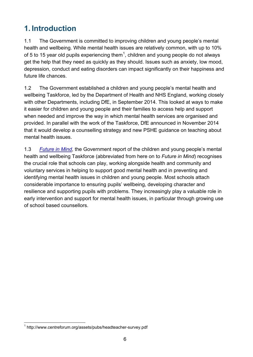# <span id="page-5-0"></span>**1. Introduction**

1.1 The Government is committed to improving children and young people's mental health and wellbeing. While mental health issues are relatively common, with up to 10% of 5 to [1](#page-5-1)5 year old pupils experiencing them<sup>1</sup>, children and young people do not always get the help that they need as quickly as they should. Issues such as anxiety, low mood, depression, conduct and eating disorders can impact significantly on their happiness and future life chances.

1.2 The Government established a children and young people's mental health and wellbeing Taskforce, led by the Department of Health and NHS England, working closely with other Departments, including DfE, in September 2014. This looked at ways to make it easier for children and young people and their families to access help and support when needed and improve the way in which mental health services are organised and provided. In parallel with the work of the Taskforce, DfE announced in November 2014 that it would develop a counselling strategy and new PSHE guidance on teaching about mental health issues.

1.3 *[Future in Mind](https://www.gov.uk/government/publications/improving-mental-health-services-for-young-people)*, the Government report of the children and young people's mental health and wellbeing Taskforce (abbreviated from here on to *Future in Mind*) recognises the crucial role that schools can play, working alongside health and community and voluntary services in helping to support good mental health and in preventing and identifying mental health issues in children and young people. Most schools attach considerable importance to ensuring pupils' wellbeing, developing character and resilience and supporting pupils with problems. They increasingly play a valuable role in early intervention and support for mental health issues, in particular through growing use of school based counsellors.

<span id="page-5-1"></span> <sup>1</sup> http://www.centreforum.org/assets/pubs/headteacher-survey.pdf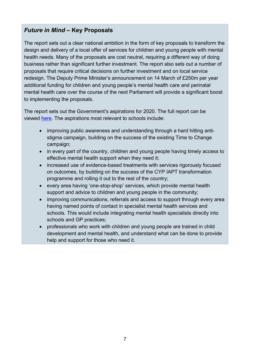### *Future in Mind* **– Key Proposals**

The report sets out a clear national ambition in the form of key proposals to transform the design and delivery of a local offer of services for children and young people with mental health needs. Many of the proposals are cost neutral, requiring a different way of doing business rather than significant further investment. The report also sets out a number of proposals that require critical decisions on further investment and on local service redesign. The Deputy Prime Minister's announcement on 14 March of £250m per year additional funding for children and young people's mental health care and perinatal mental health care over the course of the next Parliament will provide a significant boost to implementing the proposals.

The report sets out the Government's aspirations for 2020. The full report can be viewed [here.](https://www.gov.uk/government/publications/improving-mental-health-services-for-young-people) The aspirations most relevant to schools include:

- improving public awareness and understanding through a hard hitting antistigma campaign, building on the success of the existing Time to Change campaign;
- in every part of the country, children and young people having timely access to effective mental health support when they need it;
- increased use of evidence-based treatments with services rigorously focused on outcomes, by building on the success of the CYP IAPT transformation programme and rolling it out to the rest of the country;
- every area having 'one-stop-shop' services, which provide mental health support and advice to children and young people in the community;
- improving communications, referrals and access to support through every area having named points of contact in specialist mental health services and schools. This would include integrating mental health specialists directly into schools and GP practices;
- professionals who work with children and young people are trained in child development and mental health, and understand what can be done to provide help and support for those who need it.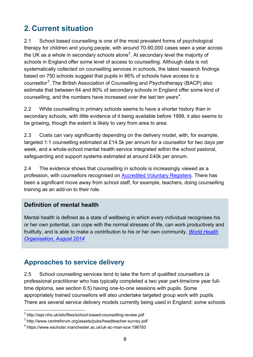# <span id="page-7-0"></span>**2. Current situation**

2.1 School based counselling is one of the most prevalent forms of psychological therapy for children and young people, with around 70-90,000 cases seen a year across the UK as a whole in secondary schools alone<sup>[2](#page-7-2)</sup>. At secondary level the majority of schools in England offer some level of access to counselling. Although data is not systematically collected on counselling services in schools, the latest research findings based on 750 schools suggest that pupils in 86% of schools have access to a counsellor<sup>[3](#page-7-3)</sup>. The British Association of Counselling and Psychotherapy (BACP) also estimate that between 64 and 80% of secondary schools in England offer some kind of counselling, and the numbers have increased over the last ten years $^4$  $^4$ .

2.2 While counselling in primary schools seems to have a shorter history than in secondary schools, with little evidence of it being available before 1999, it also seems to be growing, though the extent is likely to vary from area to area.

2.3 Costs can vary significantly depending on the delivery model, with, for example, targeted 1:1 counselling estimated at £14.5k per annum for a counsellor for two days per week, and a whole-school mental health service integrated within the school pastoral, safeguarding and support systems estimated at around £40k per annum.

2.4 The evidence shows that counselling in schools is increasingly viewed as a profession, with counsellors recognised on [Accredited Voluntary Registers.](http://www.professionalstandards.org.uk/accredited-registers) There has been a significant move away from school staff, for example, teachers, doing counselling training as an add-on to their role.

### **Definition of mental health**

Mental health is defined as a state of wellbeing in which every individual recognises his or her own potential, can cope with the normal stresses of life, can work productively and fruitfully, and is able to make a contribution to his or her own community. *[World Health](http://www.who.int/features/factfiles/mental_health/en/)  [Organisation, August 2014](http://www.who.int/features/factfiles/mental_health/en/)*

# <span id="page-7-1"></span>**Approaches to service delivery**

2.5 School counselling services tend to take the form of qualified counsellors (a professional practitioner who has typically completed a two year part-time/one year fulltime diploma, see section 6.5) having one-to-one sessions with pupils. Some appropriately trained counsellors will also undertake targeted group work with pupils. There are several service delivery models currently being used in England: some schools

<span id="page-7-2"></span> <sup>2</sup> http://iapt.nhs.uk/silo/files/school-based-counselling-review.pdf

<span id="page-7-3"></span><sup>3</sup> http://www.centreforum.org/assets/pubs/headteacher-survey.pdf

<span id="page-7-4"></span><sup>4</sup> https://www.escholar.manchester.ac.uk/uk-ac-man-scw:198783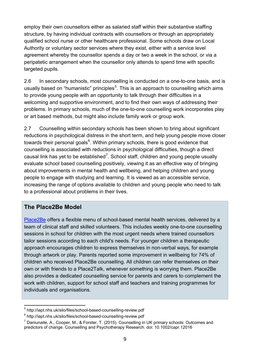employ their own counsellors either as salaried staff within their substantive staffing structure, by having individual contracts with counsellors or through an appropriately qualified school nurse or other healthcare professional. Some schools draw on Local Authority or voluntary sector services where they exist, either with a service level agreement whereby the counsellor spends a day or two a week in the school, or via a peripatetic arrangement when the counsellor only attends to spend time with specific targeted pupils.

2.6 In secondary schools, most counselling is conducted on a one-to-one basis, and is usually based on "humanistic" principles<sup>[5](#page-8-0)</sup>. This is an approach to counselling which aims to provide young people with an opportunity to talk through their difficulties in a welcoming and supportive environment, and to find their own ways of addressing their problems. In primary schools, much of the one-to-one counselling work incorporates play or art based methods, but might also include family work or group work.

2.7 Counselling within secondary schools has been shown to bring about significant reductions in psychological distress in the short term, and help young people move closer towards their personal goals<sup>[6](#page-8-1)</sup>. Within primary schools, there is good evidence that counselling is associated with reductions in psychological difficulties, though a direct causal link has yet to be established<sup>[7](#page-8-2)</sup>. School staff, children and young people usually evaluate school based counselling positively, viewing it as an effective way of bringing about improvements in mental health and wellbeing, and helping children and young people to engage with studying and learning. It is viewed as an accessible service, increasing the range of options available to children and young people who need to talk to a professional about problems in their lives.

#### **The Place2Be Model**

[Place2Be](https://www.place2be.org.uk/) offers a flexible menu of school-based mental health services, delivered by a team of clinical staff and skilled volunteers. This includes weekly one-to-one counselling sessions in school for children with the most urgent needs where trained counsellors tailor sessions according to each child's needs. For younger children a therapeutic approach encourages children to express themselves in non-verbal ways, for example through artwork or play. Parents reported some improvement in wellbeing for 74% of children who received Place2Be counselling. All children can refer themselves on their own or with friends to a Place2Talk, whenever something is worrying them. Place2Be also provides a dedicated counselling service for parents and carers to complement the work with children, support for school staff and teachers and training programmes for individuals and organisations.

<span id="page-8-0"></span> <sup>5</sup> http://iapt.nhs.uk/silo/files/school-based-counselling-review.pdf

<span id="page-8-1"></span><sup>6</sup> http://iapt.nhs.uk/silo/files/school-based-counselling-review.pdf

<span id="page-8-2"></span> $<sup>7</sup>$  Daniunaite, A., Cooper, M., & Forster, T. (2015). Counselling in UK primary schools: Outcomes and</sup> predictors of change. Counselling and Psychotherapy Research. doi: 10.1002/capr.12016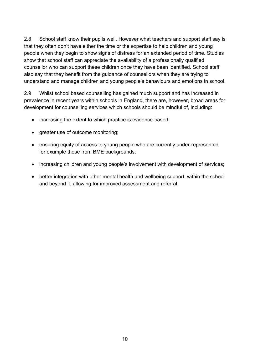2.8 School staff know their pupils well. However what teachers and support staff say is that they often don't have either the time or the expertise to help children and young people when they begin to show signs of distress for an extended period of time. Studies show that school staff can appreciate the availability of a professionally qualified counsellor who can support these children once they have been identified. School staff also say that they benefit from the guidance of counsellors when they are trying to understand and manage children and young people's behaviours and emotions in school.

2.9 Whilst school based counselling has gained much support and has increased in prevalence in recent years within schools in England, there are, however, broad areas for development for counselling services which schools should be mindful of, including:

- increasing the extent to which practice is evidence-based;
- greater use of outcome monitoring;
- ensuring equity of access to young people who are currently under-represented for example those from BME backgrounds;
- increasing children and young people's involvement with development of services;
- better integration with other mental health and wellbeing support, within the school and beyond it, allowing for improved assessment and referral.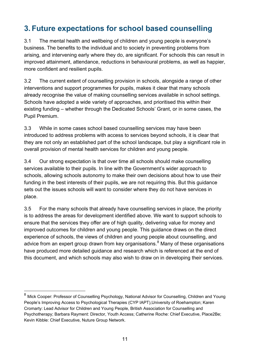# <span id="page-10-0"></span>**3. Future expectations for school based counselling**

3.1 The mental health and wellbeing of children and young people is everyone's business. The benefits to the individual and to society in preventing problems from arising, and intervening early where they do, are significant. For schools this can result in improved attainment, attendance, reductions in behavioural problems, as well as happier, more confident and resilient pupils.

3.2 The current extent of counselling provision in schools, alongside a range of other interventions and support programmes for pupils, makes it clear that many schools already recognise the value of making counselling services available in school settings. Schools have adopted a wide variety of approaches, and prioritised this within their existing funding – whether through the Dedicated Schools' Grant, or in some cases, the Pupil Premium.

3.3 While in some cases school based counselling services may have been introduced to address problems with access to services beyond schools, it is clear that they are not only an established part of the school landscape, but play a significant role in overall provision of mental health services for children and young people.

3.4 Our strong expectation is that over time all schools should make counselling services available to their pupils. In line with the Government's wider approach to schools, allowing schools autonomy to make their own decisions about how to use their funding in the best interests of their pupils, we are not requiring this. But this guidance sets out the issues schools will want to consider where they do not have services in place.

3.5 For the many schools that already have counselling services in place, the priority is to address the areas for development identified above. We want to support schools to ensure that the services they offer are of high quality, delivering value for money and improved outcomes for children and young people. This guidance draws on the direct experience of schools, the views of children and young people about counselling, and advice from an expert group drawn from key organisations.<sup>[8](#page-10-1)</sup> Many of these organisations have produced more detailed guidance and research which is referenced at the end of this document, and which schools may also wish to draw on in developing their services.

<span id="page-10-1"></span><sup>&</sup>lt;sup>8</sup> Mick Cooper: Professor of Counselling Psychology, National Advisor for Counselling, Children and Young People's Improving Access to Psychological Therapies (CYP IAPT),University of Roehampton; Karen Cromarty: Lead Advisor for Children and Young People, British Association for Counselling and Psychotherapy; Barbara Rayment: Director, Youth Access; Catherine Roche: Chief Executive, Place2Be; Kevin Kibble: Chief Executive, Nuture Group Network.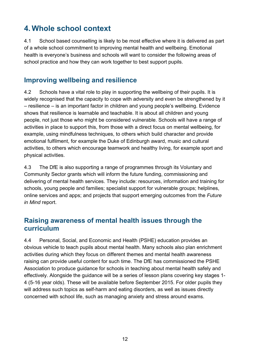# <span id="page-11-0"></span>**4. Whole school context**

4.1 School based counselling is likely to be most effective where it is delivered as part of a whole school commitment to improving mental health and wellbeing. Emotional health is everyone's business and schools will want to consider the following areas of school practice and how they can work together to best support pupils.

### <span id="page-11-1"></span>**Improving wellbeing and resilience**

4.2 Schools have a vital role to play in supporting the wellbeing of their pupils. It is widely recognised that the capacity to cope with adversity and even be strengthened by it – resilience – is an important factor in children and young people's wellbeing. Evidence shows that resilience is learnable and teachable. It is about all children and young people, not just those who might be considered vulnerable. Schools will have a range of activities in place to support this, from those with a direct focus on mental wellbeing, for example, using mindfulness techniques, to others which build character and provide emotional fulfilment, for example the Duke of Edinburgh award, music and cultural activities, to others which encourage teamwork and healthy living, for example sport and physical activities.

4.3 The DfE is also supporting a range of programmes through its Voluntary and Community Sector grants which will inform the future funding, commissioning and delivering of mental health services. They include: resources, information and training for schools, young people and families; specialist support for vulnerable groups; helplines, online services and apps; and projects that support emerging outcomes from the *Future in Mind* report.

# <span id="page-11-2"></span>**Raising awareness of mental health issues through the curriculum**

4.4 Personal, Social, and Economic and Health (PSHE) education provides an obvious vehicle to teach pupils about mental health. Many schools also plan enrichment activities during which they focus on different themes and mental health awareness raising can provide useful content for such time. The DfE has commissioned the PSHE Association to produce guidance for schools in teaching about mental health safely and effectively. Alongside the guidance will be a series of lesson plans covering key stages 1- 4 (5-16 year olds). These will be available before September 2015. For older pupils they will address such topics as self-harm and eating disorders, as well as issues directly concerned with school life, such as managing anxiety and stress around exams.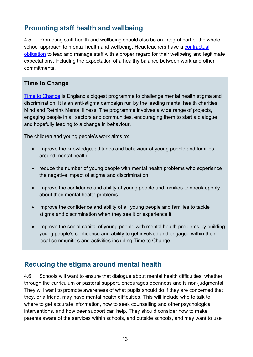# <span id="page-12-0"></span>**Promoting staff health and wellbeing**

4.5 Promoting staff health and wellbeing should also be an integral part of the whole school approach to mental health and wellbeing. Headteachers have a contractual [obligation](https://www.gov.uk/government/uploads/system/uploads/attachment_data/file/341951/School_teachers__pay_and_conditions_2014.pdf) to lead and manage staff with a proper regard for their wellbeing and legitimate expectations, including the expectation of a healthy balance between work and other commitments.

### **Time to Change**

[Time to Change](http://www.time-to-change.org.uk/) is England's biggest programme to challenge mental health stigma and discrimination. It is an anti-stigma campaign run by the leading mental health charities Mind and Rethink Mental Illness. The programme involves a wide range of projects, engaging people in all sectors and communities, encouraging them to start a dialogue and hopefully leading to a change in behaviour.

The children and young people's work aims to:

- improve the knowledge, attitudes and behaviour of young people and families around mental health,
- reduce the number of young people with mental health problems who experience the negative impact of stigma and discrimination,
- improve the confidence and ability of young people and families to speak openly about their mental health problems,
- improve the confidence and ability of all young people and families to tackle stigma and discrimination when they see it or experience it,
- improve the social capital of young people with mental health problems by building young people's confidence and ability to get involved and engaged within their local communities and activities including Time to Change.

# <span id="page-12-1"></span>**Reducing the stigma around mental health**

4.6 Schools will want to ensure that dialogue about mental health difficulties, whether through the curriculum or pastoral support, encourages openness and is non-judgmental. They will want to promote awareness of what pupils should do if they are concerned that they, or a friend, may have mental health difficulties. This will include who to talk to, where to get accurate information, how to seek counselling and other psychological interventions, and how peer support can help. They should consider how to make parents aware of the services within schools, and outside schools, and may want to use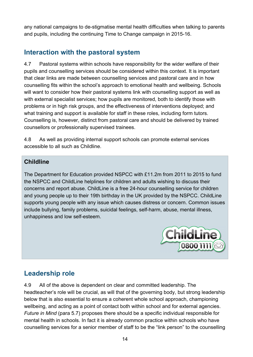any national campaigns to de-stigmatise mental health difficulties when talking to parents and pupils, including the continuing Time to Change campaign in 2015-16.

# <span id="page-13-0"></span>**Interaction with the pastoral system**

4.7 Pastoral systems within schools have responsibility for the wider welfare of their pupils and counselling services should be considered within this context. It is important that clear links are made between counselling services and pastoral care and in how counselling fits within the school's approach to emotional health and wellbeing. Schools will want to consider how their pastoral systems link with counselling support as well as with external specialist services; how pupils are monitored, both to identify those with problems or in high risk groups, and the effectiveness of interventions deployed; and what training and support is available for staff in these roles, including form tutors. Counselling is, however, distinct from pastoral care and should be delivered by trained counsellors or professionally supervised trainees.

4.8 As well as providing internal support schools can promote external services accessible to all such as Childline.

### **Childline**

The Department for Education provided NSPCC with £11.2m from 2011 to 2015 to fund the NSPCC and ChildLine helplines for children and adults wishing to discuss their concerns and report abuse. ChildLine is a free 24-hour counselling service for children and young people up to their 19th birthday in the UK provided by the NSPCC. ChildLine supports young people with any issue which causes distress or concern. Common issues include bullying, family problems, suicidal feelings, self-harm, abuse, mental illness, unhappiness and low self-esteem.



# <span id="page-13-1"></span>**Leadership role**

4.9 All of the above is dependent on clear and committed leadership. The headteacher's role will be crucial, as will that of the governing body, but strong leadership below that is also essential to ensure a coherent whole school approach, championing wellbeing, and acting as a point of contact both within school and for external agencies. *Future in Mind* (para 5.7) proposes there should be a specific individual responsible for mental health in schools. In fact it is already common practice within schools who have counselling services for a senior member of staff to be the "link person" to the counselling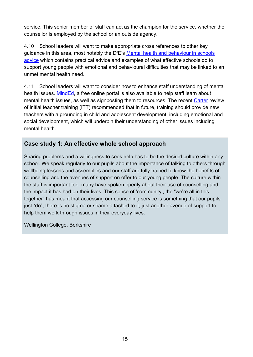service. This senior member of staff can act as the champion for the service, whether the counsellor is employed by the school or an outside agency.

4.10 School leaders will want to make appropriate cross references to other key guidance in this area, most notably the DfE's [Mental health and behaviour in schools](https://www.gov.uk/government/publications/mental-health-and-behaviour-in-schools--2)  [advice](https://www.gov.uk/government/publications/mental-health-and-behaviour-in-schools--2) which contains practical advice and examples of what effective schools do to support young people with emotional and behavioural difficulties that may be linked to an unmet mental health need.

4.11 School leaders will want to consider how to enhance staff understanding of mental health issues. [MindEd,](http://www.minded.org.uk/) a free online portal is also available to help staff learn about mental health issues, as well as signposting them to resources. The recent [Carter](https://www.gov.uk/government/publications/carter-review-of-initial-teacher-training) review of initial teacher training (ITT) recommended that in future, training should provide new teachers with a grounding in child and adolescent development, including emotional and social development, which will underpin their understanding of other issues including mental health.

### **Case study 1: An effective whole school approach**

Sharing problems and a willingness to seek help has to be the desired culture within any school. We speak regularly to our pupils about the importance of talking to others through wellbeing lessons and assemblies and our staff are fully trained to know the benefits of counselling and the avenues of support on offer to our young people. The culture within the staff is important too: many have spoken openly about their use of counselling and the impact it has had on their lives. This sense of 'community', the "we're all in this together" has meant that accessing our counselling service is something that our pupils just "do"; there is no stigma or shame attached to it, just another avenue of support to help them work through issues in their everyday lives.

Wellington College, Berkshire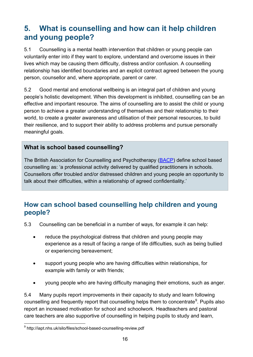# <span id="page-15-0"></span>**5. What is counselling and how can it help children and young people?**

5.1 Counselling is a mental health intervention that children or young people can voluntarily enter into if they want to explore, understand and overcome issues in their lives which may be causing them difficulty, distress and/or confusion. A counselling relationship has identified boundaries and an explicit contract agreed between the young person, counsellor and, where appropriate, parent or carer.

5.2 Good mental and emotional wellbeing is an integral part of children and young people's holistic development. When this development is inhibited, counselling can be an effective and important resource. The aims of counselling are to assist the child or young person to achieve a greater understanding of themselves and their relationship to their world, to create a greater awareness and utilisation of their personal resources, to build their resilience, and to support their ability to address problems and pursue personally meaningful goals.

### **What is school based counselling?**

The British Association for Counselling and Psychotherapy [\(BACP\)](http://www.bacp.co.uk/) define school based counselling as: 'a professional activity delivered by qualified practitioners in schools. Counsellors offer troubled and/or distressed children and young people an opportunity to talk about their difficulties, within a relationship of agreed confidentiality.'

# <span id="page-15-1"></span>**How can school based counselling help children and young people?**

- 5.3 Counselling can be beneficial in a number of ways, for example it can help:
	- reduce the psychological distress that children and young people may experience as a result of facing a range of life difficulties, such as being bullied or experiencing bereavement;
	- support young people who are having difficulties within relationships, for example with family or with friends;
	- young people who are having difficulty managing their emotions, such as anger.

5.4 Many pupils report improvements in their capacity to study and learn following counselling and frequently report that counselling helps them to concentrate<sup>[9](#page-15-2)</sup>. Pupils also report an increased motivation for school and schoolwork. Headteachers and pastoral care teachers are also supportive of counselling in helping pupils to study and learn,

<span id="page-15-2"></span> $\overline{a}$ <sup>9</sup> http://iapt.nhs.uk/silo/files/school-based-counselling-review.pdf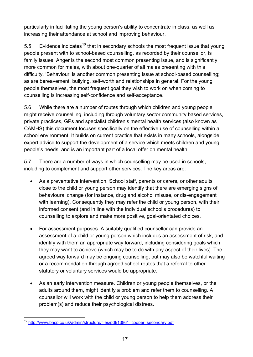particularly in facilitating the young person's ability to concentrate in class, as well as increasing their attendance at school and improving behaviour.

5.5 Evidence indicates<sup>[10](#page-16-0)</sup> that in secondary schools the most frequent issue that young people present with to school-based counselling, as recorded by their counsellor, is family issues. Anger is the second most common presenting issue, and is significantly more common for males, with about one-quarter of all males presenting with this difficulty. 'Behaviour' is another common presenting issue at school-based counselling; as are bereavement, bullying, self-worth and relationships in general. For the young people themselves, the most frequent goal they wish to work on when coming to counselling is increasing self-confidence and self-acceptance.

5.6 While there are a number of routes through which children and young people might receive counselling, including through voluntary sector community based services, private practices, GPs and specialist children's mental health services (also known as CAMHS) this document focuses specifically on the effective use of counselling within a school environment. It builds on current practice that exists in many schools, alongside expert advice to support the development of a service which meets children and young people's needs, and is an important part of a local offer on mental health.

5.7 There are a number of ways in which counselling may be used in schools, including to complement and support other services. The key areas are:

- As a preventative intervention. School staff, parents or carers, or other adults close to the child or young person may identify that there are emerging signs of behavioural change (for instance, drug and alcohol misuse, or dis-engagement with learning). Consequently they may refer the child or young person, with their informed consent (and in line with the individual school's procedures) to counselling to explore and make more positive, goal-orientated choices.
- For assessment purposes. A suitably qualified counsellor can provide an assessment of a child or young person which includes an assessment of risk, and identify with them an appropriate way forward, including considering goals which they may want to achieve (which may be to do with any aspect of their lives). The agreed way forward may be ongoing counselling, but may also be watchful waiting or a recommendation through agreed school routes that a referral to other statutory or voluntary services would be appropriate.
- As an early intervention measure. Children or young people themselves, or the adults around them, might identify a problem and refer them to counselling. A counsellor will work with the child or young person to help them address their problem(s) and reduce their psychological distress.

<span id="page-16-0"></span><sup>&</sup>lt;sup>10</sup> [http://www.bacp.co.uk/admin/structure/files/pdf/13861\\_cooper\\_secondary.pdf](http://www.bacp.co.uk/admin/structure/files/pdf/13861_cooper_secondary.pdf)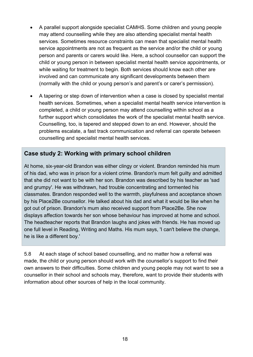- A parallel support alongside specialist CAMHS. Some children and young people may attend counselling while they are also attending specialist mental health services. Sometimes resource constraints can mean that specialist mental health service appointments are not as frequent as the service and/or the child or young person and parents or carers would like. Here, a school counsellor can support the child or young person in between specialist mental health service appointments, or while waiting for treatment to begin. Both services should know each other are involved and can communicate any significant developments between them (normally with the child or young person's and parent's or carer's permission).
- A tapering or step down of intervention when a case is closed by specialist mental health services. Sometimes, when a specialist mental health service intervention is completed, a child or young person may attend counselling within school as a further support which consolidates the work of the specialist mental health service. Counselling, too, is tapered and stepped down to an end. However, should the problems escalate, a fast track communication and referral can operate between counselling and specialist mental health services.

### **Case study 2: Working with primary school children**

At home, six-year-old Brandon was either clingy or violent. Brandon reminded his mum of his dad, who was in prison for a violent crime. Brandon's mum felt guilty and admitted that she did not want to be with her son. Brandon was described by his teacher as 'sad and grumpy'. He was withdrawn, had trouble concentrating and tormented his classmates. Brandon responded well to the warmth, playfulness and acceptance shown by his Place2Be counsellor. He talked about his dad and what it would be like when he got out of prison. Brandon's mum also received support from Place2Be. She now displays affection towards her son whose behaviour has improved at home and school. The headteacher reports that Brandon laughs and jokes with friends. He has moved up one full level in Reading, Writing and Maths. His mum says, 'I can't believe the change, he is like a different boy.'

5.8 At each stage of school based counselling, and no matter how a referral was made, the child or young person should work with the counsellor's support to find their own answers to their difficulties. Some children and young people may not want to see a counsellor in their school and schools may, therefore, want to provide their students with information about other sources of help in the local community.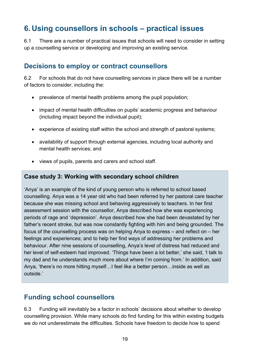# <span id="page-18-0"></span>**6. Using counsellors in schools – practical issues**

6.1 There are a number of practical issues that schools will need to consider in setting up a counselling service or developing and improving an existing service.

### <span id="page-18-1"></span>**Decisions to employ or contract counsellors**

6.2 For schools that do not have counselling services in place there will be a number of factors to consider, including the:

- prevalence of mental health problems among the pupil population;
- impact of mental health difficulties on pupils' academic progress and behaviour (including impact beyond the individual pupil);
- experience of existing staff within the school and strength of pastoral systems;
- availability of support through external agencies, including local authority and mental health services; and
- views of pupils, parents and carers and school staff.

#### **Case study 3: Working with secondary school children**

'Anya' is an example of the kind of young person who is referred to school based counselling. Anya was a 14 year old who had been referred by her pastoral care teacher because she was missing school and behaving aggressively to teachers. In her first assessment session with the counsellor, Anya described how she was experiencing periods of rage and 'depression'. Anya described how she had been devastated by her father's recent stroke, but was now constantly fighting with him and being grounded. The focus of the counselling process was on helping Anya to express – and reflect on – her feelings and experiences; and to help her find ways of addressing her problems and behaviour. After nine sessions of counselling, Anya's level of distress had reduced and her level of self-esteem had improved. 'Things have been a lot better,' she said, 'I talk to my dad and he understands much more about where I'm coming from.' In addition, said Anya, 'there's no more hitting myself…I feel like a better person…inside as well as outside.'

### <span id="page-18-2"></span>**Funding school counsellors**

6.3 Funding will inevitably be a factor in schools' decisions about whether to develop counselling provision. While many schools do find funding for this within existing budgets we do not underestimate the difficulties. Schools have freedom to decide how to spend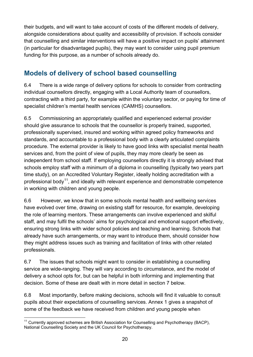their budgets, and will want to take account of costs of the different models of delivery, alongside considerations about quality and accessibility of provision. If schools consider that counselling and similar interventions will have a positive impact on pupils' attainment (in particular for disadvantaged pupils), they may want to consider using pupil premium funding for this purpose, as a number of schools already do.

# <span id="page-19-0"></span>**Models of delivery of school based counselling**

6.4 There is a wide range of delivery options for schools to consider from contracting individual counsellors directly, engaging with a Local Authority team of counsellors, contracting with a third party, for example within the voluntary sector, or paying for time of specialist children's mental health services (CAMHS) counsellors.

6.5 Commissioning an appropriately qualified and experienced external provider should give assurance to schools that the counsellor is properly trained, supported, professionally supervised, insured and working within agreed policy frameworks and standards, and accountable to a professional body with a clearly articulated complaints procedure. The external provider is likely to have good links with specialist mental health services and, from the point of view of pupils, they may more clearly be seen as independent from school staff. If employing counsellors directly it is strongly advised that schools employ staff with a minimum of a diploma in counselling (typically two years part time study), on an Accredited Voluntary Register, ideally holding accreditation with a professional body<sup>[11](#page-19-1)</sup>, and ideally with relevant experience and demonstrable competence in working with children and young people.

6.6 However, we know that in some schools mental health and wellbeing services have evolved over time, drawing on existing staff for resource, for example, developing the role of learning mentors. These arrangements can involve experienced and skilful staff, and may fulfil the schools' aims for psychological and emotional support effectively, ensuring strong links with wider school policies and teaching and learning. Schools that already have such arrangements, or may want to introduce them, should consider how they might address issues such as training and facilitation of links with other related professionals.

6.7 The issues that schools might want to consider in establishing a counselling service are wide-ranging. They will vary according to circumstance, and the model of delivery a school opts for, but can be helpful in both informing and implementing that decision. Some of these are dealt with in more detail in section 7 below.

6.8 Most importantly, before making decisions, schools will find it valuable to consult pupils about their expectations of counselling services. Annex 1 gives a snapshot of some of the feedback we have received from children and young people when

<span id="page-19-1"></span> $11$  Currently approved schemes are British Association for Counselling and Psychotherapy (BACP), National Counselling Society and the UK Council for Psychotherapy.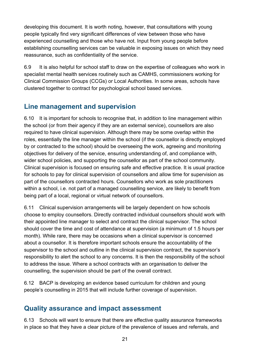developing this document. It is worth noting, however, that consultations with young people typically find very significant differences of view between those who have experienced counselling and those who have not. Input from young people before establishing counselling services can be valuable in exposing issues on which they need reassurance, such as confidentiality of the service.

6.9 It is also helpful for school staff to draw on the expertise of colleagues who work in specialist mental health services routinely such as CAMHS, commissioners working for Clinical Commission Groups (CCGs) or Local Authorities. In some areas, schools have clustered together to contract for psychological school based services.

# <span id="page-20-0"></span>**Line management and supervision**

6.10 It is important for schools to recognise that, in addition to line management within the school (or from their agency if they are an external service), counsellors are also required to have clinical supervision. Although there may be some overlap within the roles, essentially the line manager within the school (if the counsellor is directly employed by or contracted to the school) should be overseeing the work, agreeing and monitoring objectives for delivery of the service, ensuring understanding of, and compliance with, wider school policies, and supporting the counsellor as part of the school community. Clinical supervision is focused on ensuring safe and effective practice. It is usual practice for schools to pay for clinical supervision of counsellors and allow time for supervision as part of the counsellors contracted hours. Counsellors who work as sole practitioners within a school, i.e. not part of a managed counselling service, are likely to benefit from being part of a local, regional or virtual network of counsellors.

6.11 Clinical supervision arrangements will be largely dependent on how schools choose to employ counsellors. Directly contracted individual counsellors should work with their appointed line manager to select and contract the clinical supervisor. The school should cover the time and cost of attendance at supervision (a minimum of 1.5 hours per month). While rare, there may be occasions when a clinical supervisor is concerned about a counsellor. It is therefore important schools ensure the accountability of the supervisor to the school and outline in the clinical supervision contract, the supervisor's responsibility to alert the school to any concerns. It is then the responsibility of the school to address the issue. Where a school contracts with an organisation to deliver the counselling, the supervision should be part of the overall contract.

6.12 BACP is developing an evidence based curriculum for children and young people's counselling in 2015 that will include further coverage of supervision.

### <span id="page-20-1"></span>**Quality assurance and impact assessment**

6.13 Schools will want to ensure that there are effective quality assurance frameworks in place so that they have a clear picture of the prevalence of issues and referrals, and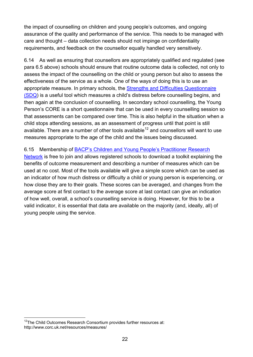the impact of counselling on children and young people's outcomes, and ongoing assurance of the quality and performance of the service. This needs to be managed with care and thought – data collection needs should not impinge on confidentiality requirements, and feedback on the counsellor equally handled very sensitively.

6.14 As well as ensuring that counsellors are appropriately qualified and regulated (see para 6.5 above) schools should ensure that routine outcome data is collected, not only to assess the impact of the counselling on the child or young person but also to assess the effectiveness of the service as a whole. One of the ways of doing this is to use an appropriate measure. In primary schools, the [Strengths and Difficulties](http://www.sdqinfo.com/) Questionnaire [\(SDQ\)](http://www.sdqinfo.com/) is a useful tool which measures a child's distress before counselling begins, and then again at the conclusion of counselling. In secondary school counselling, the Young Person's CORE is a short questionnaire that can be used in every counselling session so that assessments can be compared over time. This is also helpful in the situation when a child stops attending sessions, as an assessment of progress until that point is still available. There are a number of other tools available<sup>[12](#page-21-0)</sup> and counsellors will want to use measures appropriate to the age of the child and the issues being discussed.

6.15 Membership of [BACP's Children and Young People's Practitioner Research](https://www.bacp.co.uk/research/publications/School_Counselling.php)  [Network](https://www.bacp.co.uk/research/publications/School_Counselling.php) is free to join and allows registered schools to download a toolkit explaining the benefits of outcome measurement and describing a number of measures which can be used at no cost. Most of the tools available will give a simple score which can be used as an indicator of how much distress or difficulty a child or young person is experiencing, or how close they are to their goals. These scores can be averaged, and changes from the average score at first contact to the average score at last contact can give an indication of how well, overall, a school's counselling service is doing. However, for this to be a valid indicator, it is essential that data are available on the majority (and, ideally, all) of young people using the service.

<span id="page-21-0"></span><sup>&</sup>lt;sup>12</sup>The Child Outcomes Research Consortium provides further resources at: http://www.corc.uk.net/resources/measures/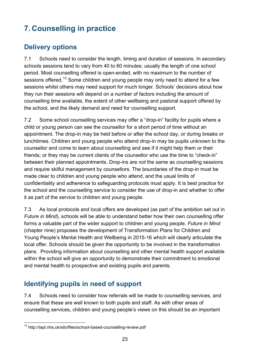# <span id="page-22-0"></span>**7. Counselling in practice**

# <span id="page-22-1"></span>**Delivery options**

7.1 Schools need to consider the length, timing and duration of sessions. In secondary schools sessions tend to vary from 40 to 60 minutes: usually the length of one school period. Most counselling offered is open-ended, with no maximum to the number of sessions offered.<sup>[13](#page-22-3)</sup> Some children and young people may only need to attend for a few sessions whilst others may need support for much longer. Schools' decisions about how they run their sessions will depend on a number of factors including the amount of counselling time available, the extent of other wellbeing and pastoral support offered by the school, and the likely demand and need for counselling support.

7.2 Some school counselling services may offer a "drop-in" facility for pupils where a child or young person can see the counsellor for a short period of time without an appointment. The drop-in may be held before or after the school day, or during breaks or lunchtimes. Children and young people who attend drop-in may be pupils unknown to the counsellor and come to learn about counselling and see if it might help them or their friends; or they may be current clients of the counsellor who use the time to "check-in" between their planned appointments. Drop-ins are *not* the same as counselling sessions and require skilful management by counsellors. The boundaries of the drop-in must be made clear to children and young people who attend, and the usual limits of confidentiality and adherence to safeguarding protocols must apply. It is best practice for the school and the counselling service to consider the use of drop-in and whether to offer it as part of the service to children and young people.

7.3 As local protocols and local offers are developed (as part of the ambition set out in *Future in Mind*), schools will be able to understand better how their own counselling offer forms a valuable part of the wider support to children and young people. *Future in Mind* (chapter nine) proposes the development of Transformation Plans for Children and Young People's Mental Health and Wellbeing in 2015-16 which will clearly articulate the local offer. Schools should be given the opportunity to be involved in the transformation plans. Providing information about counselling and other mental health support available within the school will give an opportunity to demonstrate their commitment to emotional and mental health to prospective and existing pupils and parents.

# <span id="page-22-2"></span>**Identifying pupils in need of support**

7.4 Schools need to consider how referrals will be made to counselling services, and ensure that these are well known to both pupils and staff. As with other areas of counselling services, children and young people's views on this should be an important

<span id="page-22-3"></span> <sup>13</sup> http://iapt.nhs.uk/silo/files/school-based-counselling-review.pdf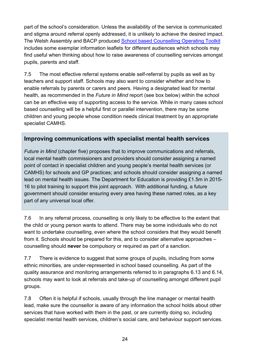part of the school's consideration. Unless the availability of the service is communicated and stigma around referral openly addressed, it is unlikely to achieve the desired impact. The Welsh Assembly and BACP produced School [based Counselling Operating Toolkit](http://gov.wales/docs/dcells/publications/110823toolkitmarch11bi.pdf) includes some exemplar information leaflets for different audiences which schools may find useful when thinking about how to raise awareness of counselling services amongst pupils, parents and staff.

7.5 The most effective referral systems enable self-referral by pupils as well as by teachers and support staff. Schools may also want to consider whether and how to enable referrals by parents or carers and peers. Having a designated lead for mental health, as recommended in the *Future in Mind* report (see box below) within the school can be an effective way of supporting access to the service. While in many cases school based counselling will be a helpful first or parallel intervention, there may be some children and young people whose condition needs clinical treatment by an appropriate specialist CAMHS.

### **Improving communications with specialist mental health services**

*Future in Mind* (chapter five) proposes that to improve communications and referrals, local mental health commissioners and providers should consider assigning a named point of contact in specialist children and young people's mental health services (or CAMHS) for schools and GP practices; and schools should consider assigning a named lead on mental health issues. The Department for Education is providing £1.5m in 2015- 16 to pilot training to support this joint approach. With additional funding, a future government should consider ensuring every area having these named roles, as a key part of any universal local offer.

7.6 In any referral process, counselling is only likely to be effective to the extent that the child or young person wants to attend. There may be some individuals who do not want to undertake counselling, even where the school considers that they would benefit from it. Schools should be prepared for this, and to consider alternative approaches – counselling should **never** be compulsory or required as part of a sanction.

7.7 There is evidence to suggest that some groups of pupils, including from some ethnic minorities, are under-represented in school based counselling. As part of the quality assurance and monitoring arrangements referred to in paragraphs 6.13 and 6.14, schools may want to look at referrals and take-up of counselling amongst different pupil groups.

7.8 Often it is helpful if schools, usually through the line manager or mental health lead, make sure the counsellor is aware of any information the school holds about other services that have worked with them in the past, or are currently doing so, including specialist mental health services, children's social care, and behaviour support services.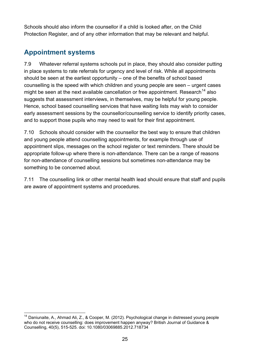Schools should also inform the counsellor if a child is looked after, on the Child Protection Register, and of any other information that may be relevant and helpful.

# <span id="page-24-0"></span>**Appointment systems**

7.9 Whatever referral systems schools put in place, they should also consider putting in place systems to rate referrals for urgency and level of risk. While all appointments should be seen at the earliest opportunity – one of the benefits of school based counselling is the speed with which children and young people are seen – urgent cases might be seen at the next available cancellation or free appointment. Research<sup>[14](#page-24-1)</sup> also suggests that assessment interviews, in themselves, may be helpful for young people. Hence, school based counselling services that have waiting lists may wish to consider early assessment sessions by the counsellor/counselling service to identify priority cases, and to support those pupils who may need to wait for their first appointment.

7.10 Schools should consider with the counsellor the best way to ensure that children and young people attend counselling appointments, for example through use of appointment slips, messages on the school register or text reminders. There should be appropriate follow-up where there is non-attendance. There can be a range of reasons for non-attendance of counselling sessions but sometimes non-attendance may be something to be concerned about.

7.11 The counselling link or other mental health lead should ensure that staff and pupils are aware of appointment systems and procedures.

<span id="page-24-1"></span><sup>&</sup>lt;sup>14</sup> Daniunaite, A., Ahmad Ali, Z., & Cooper, M. (2012). Psychological change in distressed young people who do not receive counselling: does improvement happen anyway? British Journal of Guidance & Counselling, 40(5), 515-525. doi: 10.1080/03069885.2012.718734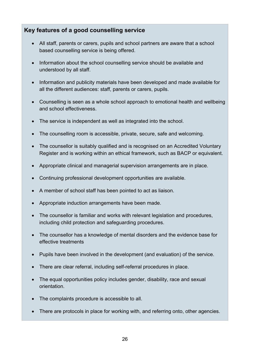### **Key features of a good counselling service**

- All staff, parents or carers, pupils and school partners are aware that a school based counselling service is being offered.
- Information about the school counselling service should be available and understood by all staff.
- Information and publicity materials have been developed and made available for all the different audiences: staff, parents or carers, pupils.
- Counselling is seen as a whole school approach to emotional health and wellbeing and school effectiveness.
- The service is independent as well as integrated into the school.
- The counselling room is accessible, private, secure, safe and welcoming.
- The counsellor is suitably qualified and is recognised on an Accredited Voluntary Register and is working within an ethical framework, such as BACP or equivalent.
- Appropriate clinical and managerial supervision arrangements are in place.
- Continuing professional development opportunities are available.
- A member of school staff has been pointed to act as liaison.
- Appropriate induction arrangements have been made.
- The counsellor is familiar and works with relevant legislation and procedures, including child protection and safeguarding procedures.
- The counsellor has a knowledge of mental disorders and the evidence base for effective treatments
- Pupils have been involved in the development (and evaluation) of the service.
- There are clear referral, including self-referral procedures in place.
- The equal opportunities policy includes gender, disability, race and sexual orientation.
- The complaints procedure is accessible to all.
- There are protocols in place for working with, and referring onto, other agencies.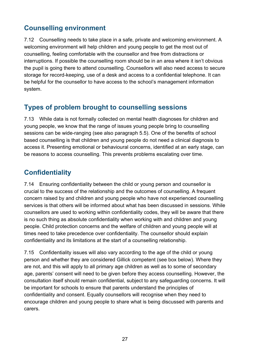# <span id="page-26-0"></span>**Counselling environment**

7.12 Counselling needs to take place in a safe, private and welcoming environment. A welcoming environment will help children and young people to get the most out of counselling, feeling comfortable with the counsellor and free from distractions or interruptions. If possible the counselling room should be in an area where it isn't obvious the pupil is going there to attend counselling. Counsellors will also need access to secure storage for record-keeping, use of a desk and access to a confidential telephone. It can be helpful for the counsellor to have access to the school's management information system.

# <span id="page-26-1"></span>**Types of problem brought to counselling sessions**

7.13 While data is not formally collected on mental health diagnoses for children and young people, we know that the range of issues young people bring to counselling sessions can be wide-ranging (see also paragraph 5.5). One of the benefits of school based counselling is that children and young people do not need a clinical diagnosis to access it. Presenting emotional or behavioural concerns, identified at an early stage, can be reasons to access counselling. This prevents problems escalating over time.

# <span id="page-26-2"></span>**Confidentiality**

7.14 Ensuring confidentiality between the child or young person and counsellor is crucial to the success of the relationship and the outcomes of counselling. A frequent concern raised by and children and young people who have not experienced counselling services is that others will be informed about what has been discussed in sessions. While counsellors are used to working within confidentiality codes, they will be aware that there is no such thing as absolute confidentiality when working with and children and young people. Child protection concerns and the welfare of children and young people will at times need to take precedence over confidentiality. The counsellor should explain confidentiality and its limitations at the start of a counselling relationship.

7.15 Confidentiality issues will also vary according to the age of the child or young person and whether they are considered Gillick competent (see box below). Where they are not, and this will apply to all primary age children as well as to some of secondary age, parents' consent will need to be given before they access counselling. However, the consultation itself should remain confidential, subject to any safeguarding concerns. It will be important for schools to ensure that parents understand the principles of confidentiality and consent. Equally counsellors will recognise when they need to encourage children and young people to share what is being discussed with parents and carers.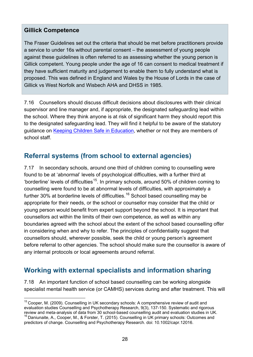### **Gillick Competence**

The Fraser Guidelines set out the criteria that should be met before practitioners provide a service to under 16s without parental consent – the assessment of young people against these guidelines is often referred to as assessing whether the young person is Gillick competent. Young people under the age of 16 can consent to medical treatment if they have sufficient maturity and judgement to enable them to fully understand what is proposed. This was defined in England and Wales by the House of Lords in the case of Gillick vs West Norfolk and Wisbech AHA and DHSS in 1985.

7.16 Counsellors should discuss difficult decisions about disclosures with their clinical supervisor and line manager and, if appropriate, the designated safeguarding lead within the school. Where they think anyone is at risk of significant harm they should report this to the designated safeguarding lead. They will find it helpful to be aware of the statutory guidance on [Keeping Children Safe in Education,](https://www.gov.uk/government/publications/keeping-children-safe-in-education) whether or not they are members of school staff.

# <span id="page-27-0"></span>**Referral systems (from school to external agencies)**

7.17 In secondary schools, around one third of children coming to counselling were found to be at 'abnormal' levels of psychological difficulties, with a further third at 'borderline' levels of difficulties<sup>[15](#page-27-2)</sup>. In primary schools, around 50% of children coming to counselling were found to be at abnormal levels of difficulties, with approximately a further 30% at borderline levels of difficulties.<sup>[16](#page-27-3)</sup> School based counselling may be appropriate for their needs, or the school or counsellor may consider that the child or young person would benefit from expert support beyond the school. It is important that counsellors act within the limits of their own competence, as well as within any boundaries agreed with the school about the extent of the school based counselling offer in considering when and why to refer. The principles of confidentiality suggest that counsellors should, wherever possible, seek the child or young person's agreement before referral to other agencies. The school should make sure the counsellor is aware of any internal protocols or local agreements around referral.

# <span id="page-27-1"></span>**Working with external specialists and information sharing**

7.18 An important function of school based counselling can be working alongside specialist mental health service (or CAMHS) services during and after treatment. This will

<span id="page-27-2"></span><sup>&</sup>lt;sup>15</sup> Cooper, M. (2009). Counselling in UK secondary schools: A comprehensive review of audit and evaluation studies Counselling and Psychotherapy Research, 9(3), 137-150. Systematic and rigorous<br>review and meta-analysis of data from 30 school-based counselling audit and evaluation studies in UK.

<span id="page-27-3"></span> $16$  Daniunaite, A., Cooper, M., & Forster, T. (2015). Counselling in UK primary schools: Outcomes and predictors of change. Counselling and Psychotherapy Research. doi: 10.1002/capr.12016.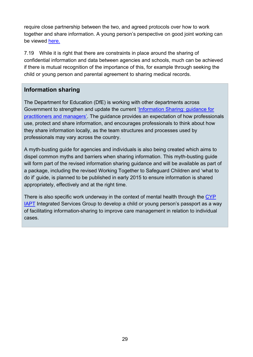require close partnership between the two, and agreed protocols over how to work together and share information. A young person's perspective on good joint working can be viewed [here.](https://www.youtube.com/watch?v=Y0H3CFHsk5o&feature=youtu.be)

7.19 While it is right that there are constraints in place around the sharing of confidential information and data between agencies and schools, much can be achieved if there is mutual recognition of the importance of this, for example through seeking the child or young person and parental agreement to sharing medical records.

### **Information sharing**

The Department for Education (DfE) is working with other departments across Government to strengthen and update the current ['Information Sharing: guidance for](https://www.gov.uk/government/publications/information-sharing-for-practitioners-and-managers)  [practitioners and managers'.](https://www.gov.uk/government/publications/information-sharing-for-practitioners-and-managers) The guidance provides an expectation of how professionals use, protect and share information, and encourages professionals to think about how they share information locally, as the team structures and processes used by professionals may vary across the country.

A myth-busting guide for agencies and individuals is also being created which aims to dispel common myths and barriers when sharing information. This myth-busting guide will form part of the revised information sharing guidance and will be available as part of a package, including the revised Working Together to Safeguard Children and 'what to do if' guide, is planned to be published in early 2015 to ensure information is shared appropriately, effectively and at the right time.

There is also specific work underway in the context of mental health through the CYP **[IAPT](http://www.cypiapt.org/children-and-young-peoples-project.php?accesscheck=%2Findex.php)** Integrated Services Group to develop a child or young person's passport as a way of facilitating information-sharing to improve care management in relation to individual cases.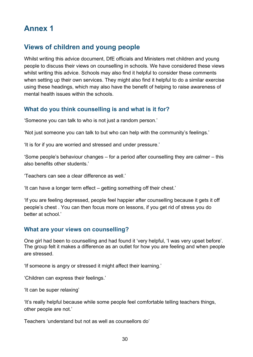# <span id="page-29-0"></span>**Annex 1**

# <span id="page-29-1"></span>**Views of children and young people**

Whilst writing this advice document, DfE officials and Ministers met children and young people to discuss their views on counselling in schools. We have considered these views whilst writing this advice. Schools may also find it helpful to consider these comments when setting up their own services. They might also find it helpful to do a similar exercise using these headings, which may also have the benefit of helping to raise awareness of mental health issues within the schools.

### <span id="page-29-2"></span>**What do you think counselling is and what is it for?**

'Someone you can talk to who is not just a random person.'

'Not just someone you can talk to but who can help with the community's feelings.'

'It is for if you are worried and stressed and under pressure.'

'Some people's behaviour changes – for a period after counselling they are calmer – this also benefits other students.'

'Teachers can see a clear difference as well.'

'It can have a longer term effect – getting something off their chest.'

'If you are feeling depressed, people feel happier after counselling because it gets it off people's chest . You can then focus more on lessons, if you get rid of stress you do better at school.'

#### <span id="page-29-3"></span>**What are your views on counselling?**

One girl had been to counselling and had found it 'very helpful, 'I was very upset before'. The group felt it makes a difference as an outlet for how you are feeling and when people are stressed.

'If someone is angry or stressed it might affect their learning.'

'Children can express their feelings.'

'It can be super relaxing'

'It's really helpful because while some people feel comfortable telling teachers things, other people are not.'

Teachers 'understand but not as well as counsellors do'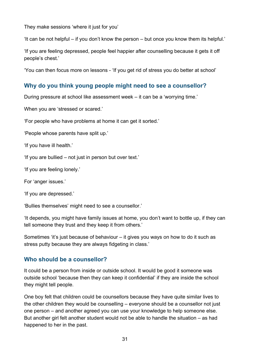They make sessions 'where it just for you'

'It can be not helpful – if you don't know the person – but once you know them its helpful.'

'If you are feeling depressed, people feel happier after counselling because it gets it off people's chest.'

'You can then focus more on lessons - 'If you get rid of stress you do better at school'

#### <span id="page-30-0"></span>**Why do you think young people might need to see a counsellor?**

During pressure at school like assessment week – it can be a 'worrying time.'

When you are 'stressed or scared.'

'For people who have problems at home it can get it sorted.'

'People whose parents have split up.'

'If you have ill health.'

'If you are bullied – not just in person but over text.'

'If you are feeling lonely.'

For 'anger issues.'

'If you are depressed.'

'Bullies themselves' might need to see a counsellor.'

'It depends, you might have family issues at home, you don't want to bottle up, if they can tell someone they trust and they keep it from others.'

Sometimes 'it's just because of behaviour – it gives you ways on how to do it such as stress putty because they are always fidgeting in class.'

#### <span id="page-30-1"></span>**Who should be a counsellor?**

It could be a person from inside or outside school. It would be good it someone was outside school 'because then they can keep it confidential' if they are inside the school they might tell people.

One boy felt that children could be counsellors because they have quite similar lives to the other children they would be counselling – everyone should be a counsellor not just one person – and another agreed you can use your knowledge to help someone else. But another girl felt another student would not be able to handle the situation – as had happened to her in the past.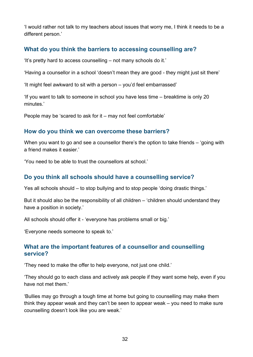'I would rather not talk to my teachers about issues that worry me, I think it needs to be a different person.'

### <span id="page-31-0"></span>**What do you think the barriers to accessing counselling are?**

'It's pretty hard to access counselling – not many schools do it.'

'Having a counsellor in a school 'doesn't mean they are good - they might just sit there'

'It might feel awkward to sit with a person – you'd feel embarrassed'

'If you want to talk to someone in school you have less time – breaktime is only 20 minutes.'

People may be 'scared to ask for it – may not feel comfortable'

#### <span id="page-31-1"></span>**How do you think we can overcome these barriers?**

When you want to go and see a counsellor there's the option to take friends – 'going with a friend makes it easier.'

'You need to be able to trust the counsellors at school.'

#### <span id="page-31-2"></span>**Do you think all schools should have a counselling service?**

Yes all schools should – to stop bullying and to stop people 'doing drastic things.'

But it should also be the responsibility of all children – 'children should understand they have a position in society.'

All schools should offer it - 'everyone has problems small or big.'

'Everyone needs someone to speak to.'

#### <span id="page-31-3"></span>**What are the important features of a counsellor and counselling service?**

'They need to make the offer to help everyone, not just one child.'

'They should go to each class and actively ask people if they want some help, even if you have not met them.'

'Bullies may go through a tough time at home but going to counselling may make them think they appear weak and they can't be seen to appear weak – you need to make sure counselling doesn't look like you are weak.'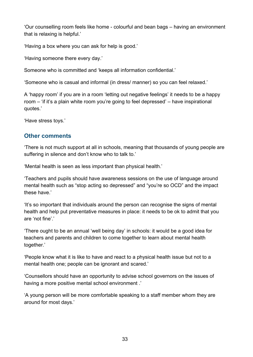'Our counselling room feels like home - colourful and bean bags – having an environment that is relaxing is helpful.'

'Having a box where you can ask for help is good.'

'Having someone there every day.'

Someone who is committed and 'keeps all information confidential.'

'Someone who is casual and informal (in dress/ manner) so you can feel relaxed.'

A 'happy room' if you are in a room 'letting out negative feelings' it needs to be a happy room – 'if it's a plain white room you're going to feel depressed' – have inspirational quotes.'

'Have stress toys.'

### <span id="page-32-0"></span>**Other comments**

'There is not much support at all in schools, meaning that thousands of young people are suffering in silence and don't know who to talk to.'

'Mental health is seen as less important than physical health.'

'Teachers and pupils should have awareness sessions on the use of language around mental health such as "stop acting so depressed" and "you're so OCD" and the impact these have.'

'It's so important that individuals around the person can recognise the signs of mental health and help put preventative measures in place: it needs to be ok to admit that you are 'not fine'.'

'There ought to be an annual 'well being day' in schools: it would be a good idea for teachers and parents and children to come together to learn about mental health together.'

'People know what it is like to have and react to a physical health issue but not to a mental health one; people can be ignorant and scared.'

'Counsellors should have an opportunity to advise school governors on the issues of having a more positive mental school environment .'

'A young person will be more comfortable speaking to a staff member whom they are around for most days.'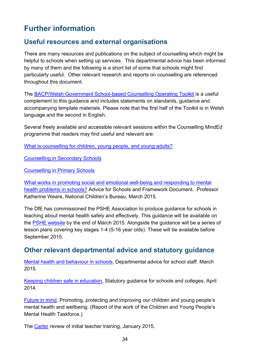# <span id="page-33-0"></span>**Further information**

### <span id="page-33-1"></span>**Useful resources and external organisations**

There are many resources and publications on the subject of counselling which might be helpful to schools when setting up services. This departmental advice has been informed by many of them and the following is a short list of some that schools might find particularly useful. Other relevant research and reports on counselling are referenced throughout this document.

The [BACP/Welsh Government School-based Counselling Operating Toolkit](http://www.bacp.co.uk/crs/Ethics%20in%20Practice/schoolToolkit.php) is a useful complement to this guidance and includes statements on standards, guidance and accompanying template materials. Please note that the first half of the Toolkit is in Welsh language and the second in English.

Several freely available and accessible relevant sessions within the Counselling MindEd programme that readers may find useful and relevant are:

[What is counselling for children, young people, and young adults?](https://www.minded.org.uk/course/view.php?id=65)

[Counselling in Secondary Schools](https://www.minded.org.uk/course/view.php?id=82)

[Counselling in Primary Schools](https://www.minded.org.uk/course/view.php?id=80)

What works in promoting social and emotional well-being and responding to mental health problems in schools? Advice for Schools and Framework Document. Professor Katherine Weare, National Children's Bureau, March 2015.

The DfE has commissioned the PSHE Association to produce guidance for schools in teaching about mental health safely and effectively. This guidance will be available on the [PSHE website](https://www.pshe-association.org.uk/resources_search_details.aspx?ResourceId=558) by the end of March 2015. Alongside the guidance will be a series of lesson plans covering key stages 1-4 (5-16 year olds). These will be available before September 2015.

### <span id="page-33-2"></span>**Other relevant departmental advice and statutory guidance**

[Mental health and behaviour in schools,](https://www.gov.uk/government/publications/mental-health-and-behaviour-in-schools--2) Departmental advice for school staff. March 2015.

[Keeping children safe in education,](https://www.gov.uk/government/publications/keeping-children-safe-in-education) Statutory guidance for schools and colleges, April 2014.

[Future in mind,](https://www.gov.uk/government/publications/improving-mental-health-services-for-young-people) Promoting, protecting and improving our children and young people's mental health and wellbeing. (Report of the work of the Children and Young People's Mental Health Taskforce.)

The [Carter](https://www.gov.uk/government/publications/carter-review-of-initial-teacher-training) review of initial teacher training, January 2015.